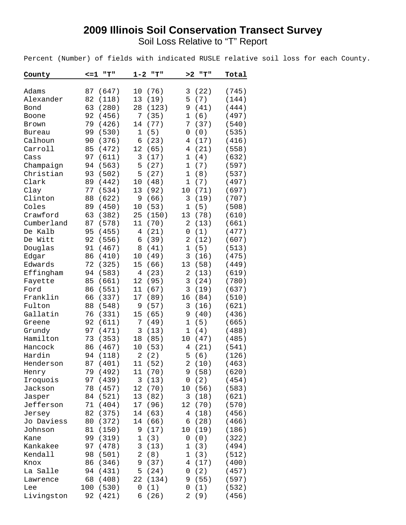## **2009 Illinois Soil Conservation Transect Survey**

Soil Loss Relative to "T" Report

Percent (Number) of fields with indicated RUSLE relative soil loss for each County.

| County     | $\leq$ =1 | "T"   | $1 - 2$        | ոтո   | >2             | "T"  | Total |
|------------|-----------|-------|----------------|-------|----------------|------|-------|
|            |           |       |                |       |                |      |       |
| Adams      | 87        | (647) | 10             | (76)  | 3              | (22) | (745) |
| Alexander  | 82        | (118) | 13             | (19)  | 5              | (7)  | (144) |
| Bond       | 63        | (280) | 28             | (123) | 9              | (41) | (444) |
| Boone      | 92        | (456) | 7              | (35)  | 1              | (6)  | (497) |
| Brown      | 79        | (426) | 14             | (77)  | 7              | (37) | (540) |
| Bureau     | 99        | (530) | $\mathbf 1$    | (5)   | 0              | (0)  | (535) |
| Calhoun    | 90        | (376) | 6              | (23)  | 4              | (17) | (416) |
| Carroll    | 85        | (472) | 12             | (65)  | 4              | (21) | (558) |
| Cass       | 97        | (611) | 3              | (17)  | $\mathbf 1$    | (4)  | (632) |
| Champaign  | 94        | (563) | 5              | (27)  | $\mathbf 1$    | (7)  | (597) |
| Christian  | 93        | (502) | 5              | (27)  | $\mathbf{1}$   | (8)  | (537) |
| Clark      | 89        | (442) | 10             | (48)  | $\mathbf 1$    | (7)  | (497) |
| Clay       | 77        | (534) | 13             | (92)  | 10             | (71) | (697) |
| Clinton    | 88        | (622) | 9              | (66)  | 3              | (19) | (707) |
| Coles      | 89        | (450) | 10             | (53)  | $\mathbf 1$    | (5)  | (508) |
| Crawford   | 63        | (382) | 25             | (150) | 13             | (78) | (610) |
| Cumberland | 87        | (578) | 11             | (70)  | 2              | (13) | (661) |
| De Kalb    | 95        | (455) | 4              | (21)  | 0              | (1)  | (477) |
| De Witt    | 92        | (556) | 6              | (39)  | $\overline{2}$ | (12) | (607) |
| Douglas    | 91        | (467) | 8              | (41)  | $\mathbf 1$    | (5)  | (513) |
| Edgar      | 86        | (410) | 10             | (49)  | 3              | (16) | (475) |
| Edwards    | 72        | (325) | 15             | (66)  | 13             | (58) | (449) |
| Effingham  | 94        | (583) | $\overline{4}$ | (23)  | $\overline{2}$ | (13) | (619) |
| Fayette    | 85        | (661) | 12             | (95)  | 3              | (24) | (780) |
| Ford       | 86        | (551) | 11             | (67)  | 3              | (19) | (637) |
| Franklin   | 66        | (337) | 17             | (89)  | 16             | (84) | (510) |
| Fulton     | 88        | (548) | 9              | (57)  | 3              | (16) | (621) |
| Gallatin   | 76        | (331) | 15             | (65)  | 9              | (40) | (436) |
| Greene     | 92        | (611) | 7              | (49)  | 1              | (5)  | (665) |
| Grundy     | 97        | (471) | 3              | (13)  | 1              | (4)  | (488) |
| Hamilton   | 73        | (353) | 18             | (85)  | 10             | (47) | (485) |
| Hancock    | 86        | (467) | 10             | (53)  | 4              | (21) | (541) |
| Hardin     | 94        | (118) | 2              | (2)   | 5              | (6)  | (126) |
| Henderson  | 87        | (401) | 11             | (52)  | $\overline{2}$ | (10) | (463) |
| Henry      | 79        | (492) | 11             | (70)  | 9              | (58) | (620) |
| Iroquois   | 97        | (439) | $\mathfrak{Z}$ | (13)  | 0              | (2)  | (454) |
| Jackson    | 78        | (457) | 12             | (70)  | 10             | (56) | (583) |
| Jasper     | 84        | (521) | 13             | (82)  | 3              | (18) | (621) |
| Jefferson  | 71        | (404) | 17             | (96)  | 12             | (70) | (570) |
| Jersey     | 82        | (375) | 14             | (63)  | 4              | (18) | (456) |
| Jo Daviess | 80        | (372) | 14             | (66)  | 6              | (28) | (466) |
| Johnson    | 81        | (150) | 9              | (17)  | 10             | (19) | (186) |
| Kane       | 99        | (319) | 1              | (3)   | 0              | (0)  | (322) |
| Kankakee   | 97        | (478) | 3              | (13)  | 1              | (3)  | (494) |
| Kendall    | 98        | (501) | 2              | (8)   | 1              | (3)  | (512) |
| Knox       | 86        | (346) | 9              | (37)  | 4              | (17) | (400) |
| La Salle   | 94        | (431) | 5              | (24)  | 0              | (2)  | (457) |
| Lawrence   | 68        | (408) | 22             | (134) | 9              | (55) | (597) |
| Lee        | 100       | (530) | 0              | (1)   | 0              | (1)  | (532) |
| Livingston | 92        | (421) | 6              | (26)  | 2              | (9)  | (456) |